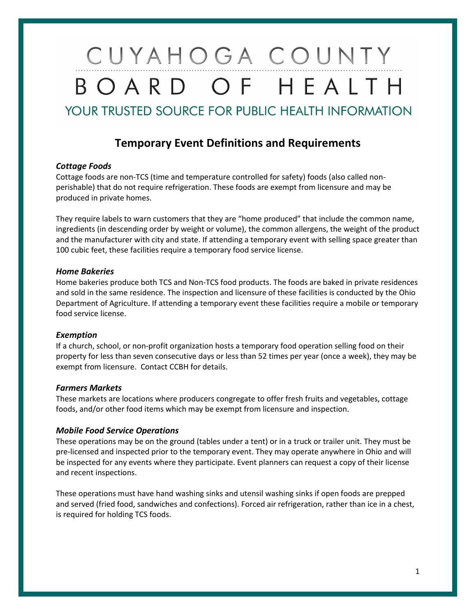# CUYAHOGA COUNTY BOARD OF HEALTH **YOUR TRUSTED SOURCE FOR PUBLIC HEALTH INFORMATION**

### **Temporary Event Definitions and Requirements**

#### *Cottage Foods*

Cottage foods are non-TCS (time and temperature controlled for safety) foods (also called nonperishable) that do not require refrigeration. These foods are exempt from licensure and may be produced in private homes.

They require labels to warn customers that they are "home produced" that include the common name, ingredients (in descending order by weight or volume), the common allergens, the weight of the product and the manufacturer with city and state. If attending a temporary event with selling space greater than 100 cubic feet, these facilities require a temporary food service license.

#### *Home Bakeries*

Home bakeries produce both TCS and Non-TCS food products. The foods are baked in private residences and sold in the same residence. The inspection and licensure of these facilities is conducted by the Ohio Department of Agriculture. If attending a temporary event these facilities require a mobile or temporary food service license.

#### *Exemption*

If a church, school, or non-profit organization hosts a temporary food operation selling food on their property for less than seven consecutive days or less than 52 times per year (once a week), they may be exempt from licensure. Contact CCBH for details.

#### *Farmers Markets*

These markets are locations where producers congregate to offer fresh fruits and vegetables, cottage foods, and/or other food items which may be exempt from licensure and inspection.

#### *Mobile Food Service Operations*

These operations may be on the ground (tables under a tent) or in a truck or trailer unit. They must be pre-licensed and inspected prior to the temporary event. They may operate anywhere in Ohio and will be inspected for any events where they participate. Event planners can request a copy of their license and recent inspections.

These operations must have hand washing sinks and utensil washing sinks if open foods are prepped and served (fried food, sandwiches and confections). Forced air refrigeration, rather than ice in a chest, is required for holding TCS foods.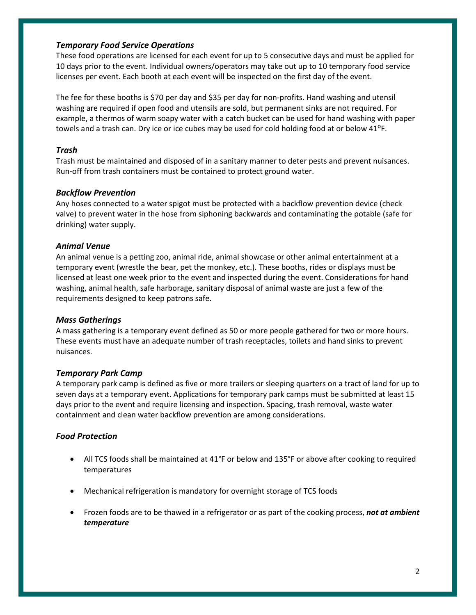#### *Temporary Food Service Operations*

These food operations are licensed for each event for up to 5 consecutive days and must be applied for 10 days prior to the event. Individual owners/operators may take out up to 10 temporary food service licenses per event. Each booth at each event will be inspected on the first day of the event.

The fee for these booths is \$70 per day and \$35 per day for non-profits. Hand washing and utensil washing are required if open food and utensils are sold, but permanent sinks are not required. For example, a thermos of warm soapy water with a catch bucket can be used for hand washing with paper towels and a trash can. Dry ice or ice cubes may be used for cold holding food at or below 41<sup>o</sup>F.

#### *Trash*

Trash must be maintained and disposed of in a sanitary manner to deter pests and prevent nuisances. Run-off from trash containers must be contained to protect ground water.

#### *Backflow Prevention*

Any hoses connected to a water spigot must be protected with a backflow prevention device (check valve) to prevent water in the hose from siphoning backwards and contaminating the potable (safe for drinking) water supply.

#### *Animal Venue*

An animal venue is a petting zoo, animal ride, animal showcase or other animal entertainment at a temporary event (wrestle the bear, pet the monkey, etc.). These booths, rides or displays must be licensed at least one week prior to the event and inspected during the event. Considerations for hand washing, animal health, safe harborage, sanitary disposal of animal waste are just a few of the requirements designed to keep patrons safe.

#### *Mass Gatherings*

A mass gathering is a temporary event defined as 50 or more people gathered for two or more hours. These events must have an adequate number of trash receptacles, toilets and hand sinks to prevent nuisances.

#### *Temporary Park Camp*

A temporary park camp is defined as five or more trailers or sleeping quarters on a tract of land for up to seven days at a temporary event. Applications for temporary park camps must be submitted at least 15 days prior to the event and require licensing and inspection. Spacing, trash removal, waste water containment and clean water backflow prevention are among considerations.

#### *Food Protection*

- All TCS foods shall be maintained at 41°F or below and 135°F or above after cooking to required temperatures
- Mechanical refrigeration is mandatory for overnight storage of TCS foods
- Frozen foods are to be thawed in a refrigerator or as part of the cooking process, *not at ambient temperature*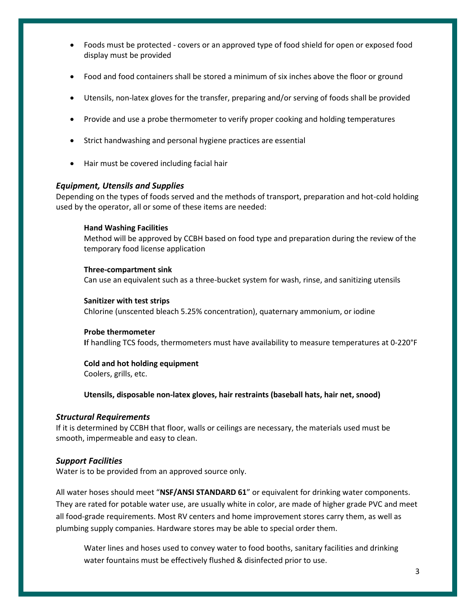- Foods must be protected covers or an approved type of food shield for open or exposed food display must be provided
- Food and food containers shall be stored a minimum of six inches above the floor or ground
- Utensils, non-latex gloves for the transfer, preparing and/or serving of foods shall be provided
- Provide and use a probe thermometer to verify proper cooking and holding temperatures
- Strict handwashing and personal hygiene practices are essential
- Hair must be covered including facial hair

#### *Equipment, Utensils and Supplies*

Depending on the types of foods served and the methods of transport, preparation and hot-cold holding used by the operator, all or some of these items are needed:

#### **Hand Washing Facilities**

Method will be approved by CCBH based on food type and preparation during the review of the temporary food license application

#### **Three-compartment sink**

Can use an equivalent such as a three-bucket system for wash, rinse, and sanitizing utensils

#### **Sanitizer with test strips**

Chlorine (unscented bleach 5.25% concentration), quaternary ammonium, or iodine

#### **Probe thermometer**

**I**f handling TCS foods, thermometers must have availability to measure temperatures at 0-220°F

#### **Cold and hot holding equipment**

Coolers, grills, etc.

**Utensils, disposable non-latex gloves, hair restraints (baseball hats, hair net, snood)**

#### *Structural Requirements*

If it is determined by CCBH that floor, walls or ceilings are necessary, the materials used must be smooth, impermeable and easy to clean.

#### *Support Facilities*

Water is to be provided from an approved source only.

All water hoses should meet "**NSF/ANSI STANDARD 61**" or equivalent for drinking water components. They are rated for potable water use, are usually white in color, are made of higher grade PVC and meet all food-grade requirements. Most RV centers and home improvement stores carry them, as well as plumbing supply companies. Hardware stores may be able to special order them.

Water lines and hoses used to convey water to food booths, sanitary facilities and drinking water fountains must be effectively flushed & disinfected prior to use.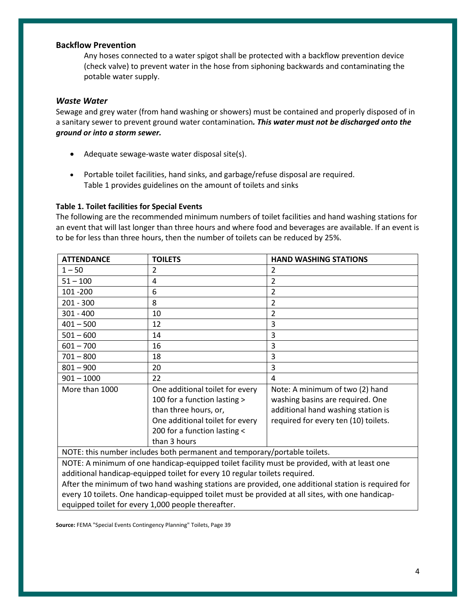#### **Backflow Prevention**

Any hoses connected to a water spigot shall be protected with a backflow prevention device (check valve) to prevent water in the hose from siphoning backwards and contaminating the potable water supply.

#### *Waste Water*

Sewage and grey water (from hand washing or showers) must be contained and properly disposed of in a sanitary sewer to prevent ground water contamination*. This water must not be discharged onto the ground or into a storm sewer.*

- Adequate sewage-waste water disposal site(s).
- Portable toilet facilities, hand sinks, and garbage/refuse disposal are required. Table 1 provides guidelines on the amount of toilets and sinks

#### **Table 1. Toilet facilities for Special Events**

The following are the recommended minimum numbers of toilet facilities and hand washing stations for an event that will last longer than three hours and where food and beverages are available. If an event is to be for less than three hours, then the number of toilets can be reduced by 25%.

| <b>ATTENDANCE</b>                                                                                   | <b>TOILETS</b>                  | <b>HAND WASHING STATIONS</b>         |
|-----------------------------------------------------------------------------------------------------|---------------------------------|--------------------------------------|
| $1 - 50$                                                                                            | $\mathfrak{p}$                  | $\overline{2}$                       |
| $51 - 100$                                                                                          | 4                               | $\overline{2}$                       |
| 101 - 200                                                                                           | 6                               | $\overline{2}$                       |
| $201 - 300$                                                                                         | 8                               | 2                                    |
| $301 - 400$                                                                                         | 10                              | $\overline{2}$                       |
| $401 - 500$                                                                                         | 12                              | 3                                    |
| $501 - 600$                                                                                         | 14                              | 3                                    |
| $601 - 700$                                                                                         | 16                              | 3                                    |
| $701 - 800$                                                                                         | 18                              | 3                                    |
| $801 - 900$                                                                                         | 20                              | 3                                    |
| $901 - 1000$                                                                                        | 22                              | 4                                    |
| More than 1000                                                                                      | One additional toilet for every | Note: A minimum of two (2) hand      |
|                                                                                                     | 100 for a function lasting >    | washing basins are required. One     |
|                                                                                                     | than three hours, or,           | additional hand washing station is   |
|                                                                                                     | One additional toilet for every | required for every ten (10) toilets. |
|                                                                                                     | 200 for a function lasting <    |                                      |
|                                                                                                     | than 3 hours                    |                                      |
| NOTE: this number includes both permanent and temporary/portable toilets.                           |                                 |                                      |
| NOTE: A minimum of one handicap-equipped toilet facility must be provided, with at least one        |                                 |                                      |
| additional handicap-equipped toilet for every 10 regular toilets required.                          |                                 |                                      |
| After the minimum of two hand washing stations are provided, one additional station is required for |                                 |                                      |
| every 10 toilets. One handicap-equipped toilet must be provided at all sites, with one handicap-    |                                 |                                      |

equipped toilet for every 1,000 people thereafter.

**Source:** FEMA "Special Events Contingency Planning" Toilets, Page 39